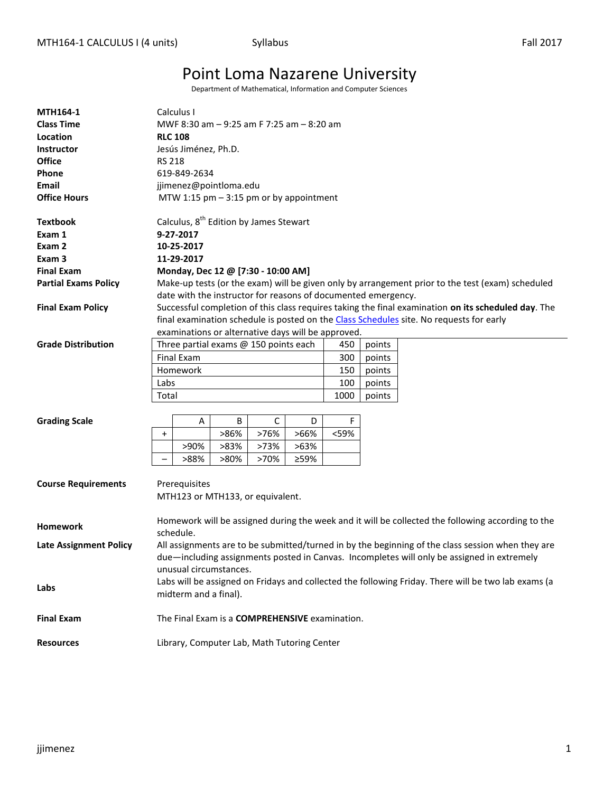# Point Loma Nazarene University

Department of Mathematical, Information and Computer Sciences

| <b>MTH164-1</b><br><b>Class Time</b><br>Location<br><b>Instructor</b> | Calculus I<br>MWF 8:30 am - 9:25 am F 7:25 am - 8:20 am<br><b>RLC 108</b><br>Jesús Jiménez, Ph.D.                                                                                               |  |  |  |  |  |  |  |  |
|-----------------------------------------------------------------------|-------------------------------------------------------------------------------------------------------------------------------------------------------------------------------------------------|--|--|--|--|--|--|--|--|
| <b>Office</b>                                                         | <b>RS 218</b>                                                                                                                                                                                   |  |  |  |  |  |  |  |  |
| Phone                                                                 | 619-849-2634                                                                                                                                                                                    |  |  |  |  |  |  |  |  |
| <b>Email</b>                                                          | jjimenez@pointloma.edu                                                                                                                                                                          |  |  |  |  |  |  |  |  |
| <b>Office Hours</b>                                                   | MTW 1:15 $pm - 3:15$ pm or by appointment                                                                                                                                                       |  |  |  |  |  |  |  |  |
|                                                                       |                                                                                                                                                                                                 |  |  |  |  |  |  |  |  |
| <b>Textbook</b>                                                       | Calculus, 8 <sup>th</sup> Edition by James Stewart                                                                                                                                              |  |  |  |  |  |  |  |  |
| Exam 1                                                                | 9-27-2017                                                                                                                                                                                       |  |  |  |  |  |  |  |  |
| Exam 2                                                                | 10-25-2017                                                                                                                                                                                      |  |  |  |  |  |  |  |  |
| Exam 3                                                                | 11-29-2017                                                                                                                                                                                      |  |  |  |  |  |  |  |  |
| <b>Final Exam</b>                                                     | Monday, Dec 12 @ [7:30 - 10:00 AM]                                                                                                                                                              |  |  |  |  |  |  |  |  |
| <b>Partial Exams Policy</b>                                           | Make-up tests (or the exam) will be given only by arrangement prior to the test (exam) scheduled                                                                                                |  |  |  |  |  |  |  |  |
|                                                                       | date with the instructor for reasons of documented emergency.                                                                                                                                   |  |  |  |  |  |  |  |  |
| <b>Final Exam Policy</b>                                              | Successful completion of this class requires taking the final examination on its scheduled day. The                                                                                             |  |  |  |  |  |  |  |  |
|                                                                       | final examination schedule is posted on the Class Schedules site. No requests for early                                                                                                         |  |  |  |  |  |  |  |  |
|                                                                       | examinations or alternative days will be approved.                                                                                                                                              |  |  |  |  |  |  |  |  |
| <b>Grade Distribution</b>                                             | Three partial exams @ 150 points each<br>450<br>points                                                                                                                                          |  |  |  |  |  |  |  |  |
|                                                                       | <b>Final Exam</b><br>300<br>points                                                                                                                                                              |  |  |  |  |  |  |  |  |
|                                                                       | Homework<br>150<br>points                                                                                                                                                                       |  |  |  |  |  |  |  |  |
|                                                                       | Labs<br>100<br>points                                                                                                                                                                           |  |  |  |  |  |  |  |  |
|                                                                       | 1000<br>Total<br>points                                                                                                                                                                         |  |  |  |  |  |  |  |  |
|                                                                       |                                                                                                                                                                                                 |  |  |  |  |  |  |  |  |
| <b>Grading Scale</b>                                                  | F<br>В<br>C<br>А<br>D                                                                                                                                                                           |  |  |  |  |  |  |  |  |
|                                                                       | >86%<br>>76%<br><59%<br>>66%<br>$\ddot{}$                                                                                                                                                       |  |  |  |  |  |  |  |  |
|                                                                       | >90%<br>>83%<br>>73%<br>>63%                                                                                                                                                                    |  |  |  |  |  |  |  |  |
|                                                                       | >88%<br>>80%<br>>70%<br>≥59%                                                                                                                                                                    |  |  |  |  |  |  |  |  |
| <b>Course Requirements</b>                                            | Prerequisites<br>MTH123 or MTH133, or equivalent.                                                                                                                                               |  |  |  |  |  |  |  |  |
| <b>Homework</b>                                                       | Homework will be assigned during the week and it will be collected the following according to the<br>schedule.                                                                                  |  |  |  |  |  |  |  |  |
| <b>Late Assignment Policy</b>                                         | All assignments are to be submitted/turned in by the beginning of the class session when they are<br>due—including assignments posted in Canvas. Incompletes will only be assigned in extremely |  |  |  |  |  |  |  |  |
| Labs                                                                  | unusual circumstances.<br>Labs will be assigned on Fridays and collected the following Friday. There will be two lab exams (a<br>midterm and a final).                                          |  |  |  |  |  |  |  |  |
| <b>Final Exam</b>                                                     | The Final Exam is a COMPREHENSIVE examination.                                                                                                                                                  |  |  |  |  |  |  |  |  |
| <b>Resources</b>                                                      | Library, Computer Lab, Math Tutoring Center                                                                                                                                                     |  |  |  |  |  |  |  |  |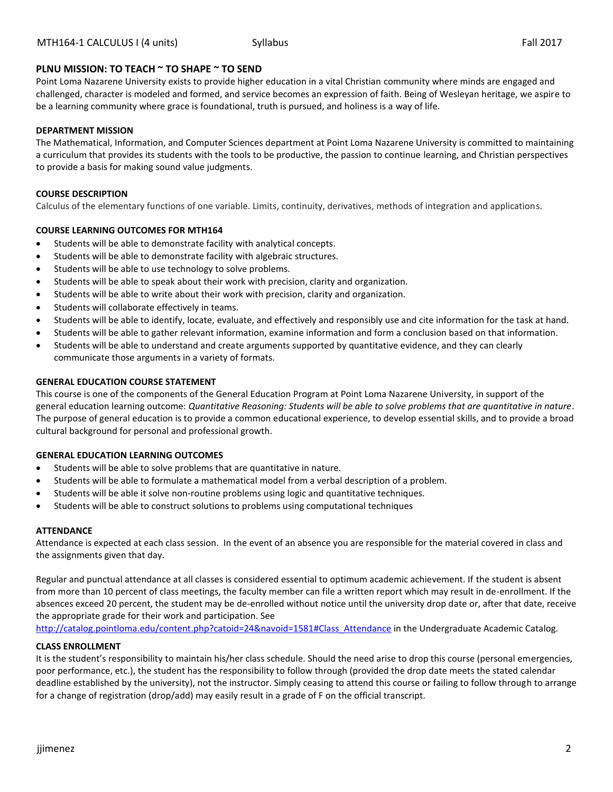### **PLNU MISSION: TO TEACH ~ TO SHAPE ~ TO SEND**

Point Loma Nazarene University exists to provide higher education in a vital Christian community where minds are engaged and challenged, character is modeled and formed, and service becomes an expression of faith. Being of Wesleyan heritage, we aspire to be a learning community where grace is foundational, truth is pursued, and holiness is a way of life.

#### **DEPARTMENT MISSION**

The Mathematical, Information, and Computer Sciences department at Point Loma Nazarene University is committed to maintaining a curriculum that provides its students with the tools to be productive, the passion to continue learning, and Christian perspectives to provide a basis for making sound value judgments.

#### **COURSE DESCRIPTION**

Calculus of the elementary functions of one variable. Limits, continuity, derivatives, methods of integration and applications.

### **COURSE LEARNING OUTCOMES FOR MTH164**

- Students will be able to demonstrate facility with analytical concepts.
- Students will be able to demonstrate facility with algebraic structures.
- Students will be able to use technology to solve problems.
- Students will be able to speak about their work with precision, clarity and organization.
- Students will be able to write about their work with precision, clarity and organization.
- Students will collaborate effectively in teams.
- Students will be able to identify, locate, evaluate, and effectively and responsibly use and cite information for the task at hand.
- Students will be able to gather relevant information, examine information and form a conclusion based on that information.
- Students will be able to understand and create arguments supported by quantitative evidence, and they can clearly communicate those arguments in a variety of formats.

#### **GENERAL EDUCATION COURSE STATEMENT**

This course is one of the components of the General Education Program at Point Loma Nazarene University, in support of the general education learning outcome: *Quantitative Reasoning: Students will be able to solve problems that are quantitative in nature*. The purpose of general education is to provide a common educational experience, to develop essential skills, and to provide a broad cultural background for personal and professional growth.

#### **GENERAL EDUCATION LEARNING OUTCOMES**

- Students will be able to solve problems that are quantitative in nature.
- Students will be able to formulate a mathematical model from a verbal description of a problem.
- Students will be able it solve non-routine problems using logic and quantitative techniques.
- Students will be able to construct solutions to problems using computational techniques

#### **ATTENDANCE**

Attendance is expected at each class session. In the event of an absence you are responsible for the material covered in class and the assignments given that day.

Regular and punctual attendance at all classes is considered essential to optimum academic achievement. If the student is absent from more than 10 percent of class meetings, the faculty member can file a written report which may result in de-enrollment. If the absences exceed 20 percent, the student may be de-enrolled without notice until the university drop date or, after that date, receive the appropriate grade for their work and participation. See

[http://catalog.pointloma.edu/content.php?catoid=24&navoid=1581#Class\\_Attendance](http://catalog.pointloma.edu/content.php?catoid=24&navoid=1581#Class_Attendance) in the Undergraduate Academic Catalog.

#### **CLASS ENROLLMENT**

It is the student's responsibility to maintain his/her class schedule. Should the need arise to drop this course (personal emergencies, poor performance, etc.), the student has the responsibility to follow through (provided the drop date meets the stated calendar deadline established by the university), not the instructor. Simply ceasing to attend this course or failing to follow through to arrange for a change of registration (drop/add) may easily result in a grade of F on the official transcript.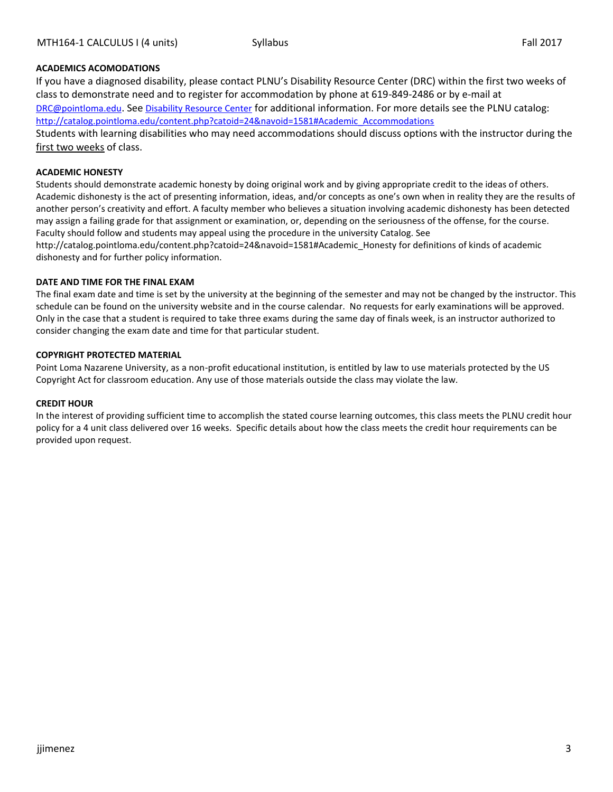### **ACADEMICS ACOMODATIONS**

If you have a diagnosed disability, please contact PLNU's Disability Resource Center (DRC) within the first two weeks of class to demonstrate need and to register for accommodation by phone at 619-849-2486 or by e-mail at [DRC@pointloma.edu](mailto:DRC@pointloma.edu). See [Disability Resource Center](http://www.pointloma.edu/experience/offices/administrative-offices/academic-advising-office/disability-resource-center) for additional information. For more details see the PLNU catalog: [http://catalog.pointloma.edu/content.php?catoid=24&navoid=1581#Academic\\_Accommodations](http://catalog.pointloma.edu/content.php?catoid=24&navoid=1581#Academic_Accommodations) Students with learning disabilities who may need accommodations should discuss options with the instructor during the

#### **ACADEMIC HONESTY**

first two weeks of class.

Students should demonstrate academic honesty by doing original work and by giving appropriate credit to the ideas of others. Academic dishonesty is the act of presenting information, ideas, and/or concepts as one's own when in reality they are the results of another person's creativity and effort. A faculty member who believes a situation involving academic dishonesty has been detected may assign a failing grade for that assignment or examination, or, depending on the seriousness of the offense, for the course. Faculty should follow and students may appeal using the procedure in the university Catalog. See http://catalog.pointloma.edu/content.php?catoid=24&navoid=1581#Academic\_Honesty for definitions of kinds of academic dishonesty and for further policy information.

#### **DATE AND TIME FOR THE FINAL EXAM**

The final exam date and time is set by the university at the beginning of the semester and may not be changed by the instructor. This schedule can be found on the university website and in the course calendar. No requests for early examinations will be approved. Only in the case that a student is required to take three exams during the same day of finals week, is an instructor authorized to consider changing the exam date and time for that particular student.

#### **COPYRIGHT PROTECTED MATERIAL**

Point Loma Nazarene University, as a non-profit educational institution, is entitled by law to use materials protected by the US Copyright Act for classroom education. Any use of those materials outside the class may violate the law.

#### **CREDIT HOUR**

In the interest of providing sufficient time to accomplish the stated course learning outcomes, this class meets the PLNU credit hour policy for a 4 unit class delivered over 16 weeks. Specific details about how the class meets the credit hour requirements can be provided upon request.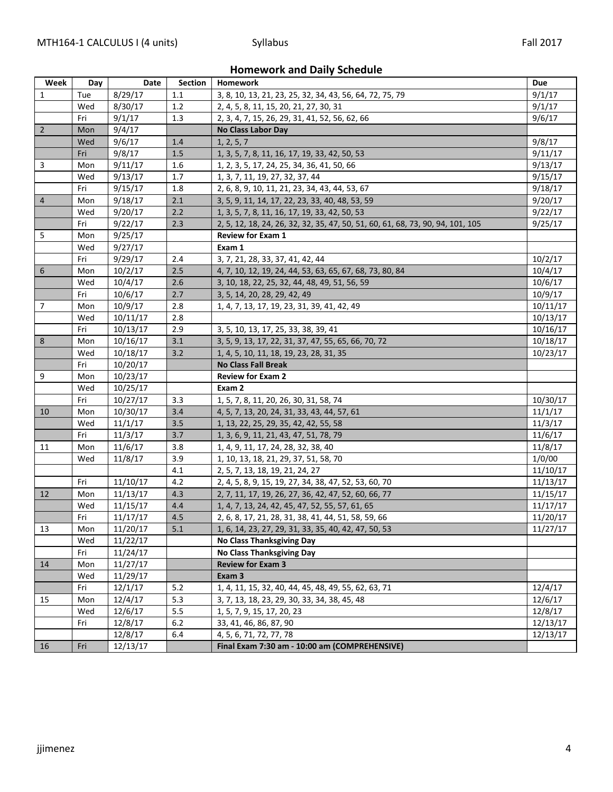**Homework and Daily Schedule**

| Week           | Day | Date     | Section | <b>Homework</b>                                                                | Due      |  |  |  |
|----------------|-----|----------|---------|--------------------------------------------------------------------------------|----------|--|--|--|
| 1              | Tue | 8/29/17  | 1.1     | 3, 8, 10, 13, 21, 23, 25, 32, 34, 43, 56, 64, 72, 75, 79                       | 9/1/17   |  |  |  |
|                | Wed | 8/30/17  | 1.2     | 2, 4, 5, 8, 11, 15, 20, 21, 27, 30, 31                                         | 9/1/17   |  |  |  |
|                | Fri | 9/1/17   | 1.3     | 2, 3, 4, 7, 15, 26, 29, 31, 41, 52, 56, 62, 66                                 |          |  |  |  |
| $\overline{2}$ | Mon | 9/4/17   |         | <b>No Class Labor Day</b>                                                      |          |  |  |  |
|                | Wed | 9/6/17   | 1.4     | 1, 2, 5, 7                                                                     | 9/8/17   |  |  |  |
|                | Fri | 9/8/17   | 1.5     | 1, 3, 5, 7, 8, 11, 16, 17, 19, 33, 42, 50, 53                                  | 9/11/17  |  |  |  |
| 3              | Mon | 9/11/17  | 1.6     | 1, 2, 3, 5, 17, 24, 25, 34, 36, 41, 50, 66                                     | 9/13/17  |  |  |  |
|                | Wed | 9/13/17  | 1.7     | 1, 3, 7, 11, 19, 27, 32, 37, 44                                                | 9/15/17  |  |  |  |
|                | Fri | 9/15/17  | 1.8     | 2, 6, 8, 9, 10, 11, 21, 23, 34, 43, 44, 53, 67                                 | 9/18/17  |  |  |  |
| $\overline{4}$ | Mon | 9/18/17  | 2.1     | 3, 5, 9, 11, 14, 17, 22, 23, 33, 40, 48, 53, 59                                | 9/20/17  |  |  |  |
|                | Wed | 9/20/17  | 2.2     | 1, 3, 5, 7, 8, 11, 16, 17, 19, 33, 42, 50, 53                                  | 9/22/17  |  |  |  |
|                | Fri | 9/22/17  | 2.3     | 2, 5, 12, 18, 24, 26, 32, 32, 35, 47, 50, 51, 60, 61, 68, 73, 90, 94, 101, 105 | 9/25/17  |  |  |  |
| 5              | Mon | 9/25/17  |         | <b>Review for Exam 1</b>                                                       |          |  |  |  |
|                | Wed | 9/27/17  |         | Exam 1                                                                         |          |  |  |  |
|                | Fri | 9/29/17  | 2.4     | 3, 7, 21, 28, 33, 37, 41, 42, 44                                               | 10/2/17  |  |  |  |
| 6              | Mon | 10/2/17  | 2.5     | 4, 7, 10, 12, 19, 24, 44, 53, 63, 65, 67, 68, 73, 80, 84                       | 10/4/17  |  |  |  |
|                | Wed | 10/4/17  | 2.6     | 3, 10, 18, 22, 25, 32, 44, 48, 49, 51, 56, 59                                  | 10/6/17  |  |  |  |
|                | Fri | 10/6/17  | 2.7     | 3, 5, 14, 20, 28, 29, 42, 49                                                   | 10/9/17  |  |  |  |
| $\overline{7}$ | Mon | 10/9/17  | 2.8     | 1, 4, 7, 13, 17, 19, 23, 31, 39, 41, 42, 49                                    | 10/11/17 |  |  |  |
|                | Wed | 10/11/17 | 2.8     |                                                                                | 10/13/17 |  |  |  |
|                | Fri | 10/13/17 | 2.9     | 3, 5, 10, 13, 17, 25, 33, 38, 39, 41                                           | 10/16/17 |  |  |  |
| 8              | Mon | 10/16/17 | 3.1     | 3, 5, 9, 13, 17, 22, 31, 37, 47, 55, 65, 66, 70, 72                            | 10/18/17 |  |  |  |
|                | Wed | 10/18/17 | 3.2     | 1, 4, 5, 10, 11, 18, 19, 23, 28, 31, 35                                        | 10/23/17 |  |  |  |
|                | Fri | 10/20/17 |         | <b>No Class Fall Break</b>                                                     |          |  |  |  |
| 9              | Mon | 10/23/17 |         | <b>Review for Exam 2</b>                                                       |          |  |  |  |
|                | Wed | 10/25/17 |         | Exam 2                                                                         |          |  |  |  |
|                | Fri | 10/27/17 | 3.3     | 1, 5, 7, 8, 11, 20, 26, 30, 31, 58, 74                                         | 10/30/17 |  |  |  |
| 10             | Mon | 10/30/17 | 3.4     | 4, 5, 7, 13, 20, 24, 31, 33, 43, 44, 57, 61                                    | 11/1/17  |  |  |  |
|                | Wed | 11/1/17  | 3.5     | 1, 13, 22, 25, 29, 35, 42, 42, 55, 58                                          | 11/3/17  |  |  |  |
|                | Fri | 11/3/17  | 3.7     | 1, 3, 6, 9, 11, 21, 43, 47, 51, 78, 79                                         | 11/6/17  |  |  |  |
| 11             | Mon | 11/6/17  | 3.8     | 1, 4, 9, 11, 17, 24, 28, 32, 38, 40                                            | 11/8/17  |  |  |  |
|                | Wed | 11/8/17  | 3.9     | 1, 10, 13, 18, 21, 29, 37, 51, 58, 70                                          | 1/0/00   |  |  |  |
|                |     |          | 4.1     | 2, 5, 7, 13, 18, 19, 21, 24, 27                                                | 11/10/17 |  |  |  |
|                | Fri | 11/10/17 | 4.2     | 2, 4, 5, 8, 9, 15, 19, 27, 34, 38, 47, 52, 53, 60, 70                          | 11/13/17 |  |  |  |
| 12             | Mon | 11/13/17 | 4.3     | 2, 7, 11, 17, 19, 26, 27, 36, 42, 47, 52, 60, 66, 77                           | 11/15/17 |  |  |  |
|                | Wed | 11/15/17 | 4.4     | 1, 4, 7, 13, 24, 42, 45, 47, 52, 55, 57, 61, 65                                | 11/17/17 |  |  |  |
|                | Fri | 11/17/17 | 4.5     | 2, 6, 8, 17, 21, 28, 31, 38, 41, 44, 51, 58, 59, 66                            | 11/20/17 |  |  |  |
| 13             | Mon | 11/20/17 | 5.1     | 1, 6, 14, 23, 27, 29, 31, 33, 35, 40, 42, 47, 50, 53                           | 11/27/17 |  |  |  |
|                | Wed | 11/22/17 |         | <b>No Class Thanksgiving Day</b>                                               |          |  |  |  |
|                | Fri | 11/24/17 |         | <b>No Class Thanksgiving Day</b>                                               |          |  |  |  |
| 14             | Mon | 11/27/17 |         | <b>Review for Exam 3</b>                                                       |          |  |  |  |
|                | Wed | 11/29/17 |         | Exam 3                                                                         |          |  |  |  |
|                | Fri | 12/1/17  | $5.2$   | 1, 4, 11, 15, 32, 40, 44, 45, 48, 49, 55, 62, 63, 71                           | 12/4/17  |  |  |  |
| 15             | Mon | 12/4/17  | 5.3     | 3, 7, 13, 18, 23, 29, 30, 33, 34, 38, 45, 48                                   | 12/6/17  |  |  |  |
|                | Wed | 12/6/17  | 5.5     | 1, 5, 7, 9, 15, 17, 20, 23                                                     | 12/8/17  |  |  |  |
|                | Fri | 12/8/17  | 6.2     | 33, 41, 46, 86, 87, 90                                                         | 12/13/17 |  |  |  |
|                |     | 12/8/17  | 6.4     | 4, 5, 6, 71, 72, 77, 78                                                        | 12/13/17 |  |  |  |
| 16             | Fri | 12/13/17 |         | Final Exam 7:30 am - 10:00 am (COMPREHENSIVE)                                  |          |  |  |  |